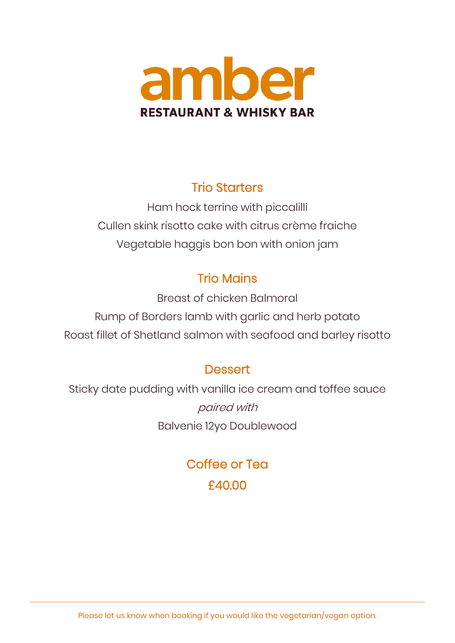

## Trio Starters

Ham hock terrine with piccalilli Cullen skink risotto cake with citrus crème fraiche Vegetable haggis bon bon with onion jam

# Trio Mains

Breast of chicken Balmoral Rump of Borders lamb with garlic and herb potato Roast fillet of Shetland salmon with seafood and barley risotto

# **Dessert**

Sticky date pudding with vanilla ice cream and toffee sauce paired with Balvenie 12yo Doublewood

> Coffee or Tea £40.00

Please let us know when booking if you would like the vegetarian/vegan option.